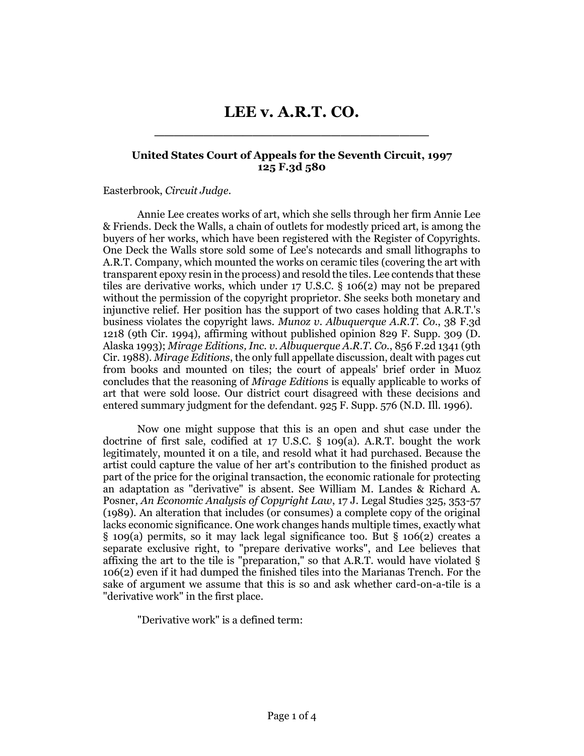## **LEE v. A.R.T. CO.** \_\_\_\_\_\_\_\_\_\_\_\_\_\_\_\_\_\_\_\_\_\_\_\_\_\_\_\_

## **United States Court of Appeals for the Seventh Circuit, 1997 125 F.3d 580**

## Easterbrook, *Circuit Judge*.

Annie Lee creates works of art, which she sells through her firm Annie Lee & Friends. Deck the Walls, a chain of outlets for modestly priced art, is among the buyers of her works, which have been registered with the Register of Copyrights. One Deck the Walls store sold some of Lee's notecards and small lithographs to A.R.T. Company, which mounted the works on ceramic tiles (covering the art with transparent epoxy resin in the process) and resold the tiles. Lee contends that these tiles are derivative works, which under 17 U.S.C. § 106(2) may not be prepared without the permission of the copyright proprietor. She seeks both monetary and injunctive relief. Her position has the support of two cases holding that A.R.T.'s business violates the copyright laws. *Munoz v. Albuquerque A.R.T. Co.*, 38 F.3d 1218 (9th Cir. 1994), affirming without published opinion 829 F. Supp. 309 (D. Alaska 1993); *Mirage Editions, Inc. v. Albuquerque A.R.T. Co.*, 856 F.2d 1341 (9th Cir. 1988). *Mirage Editions*, the only full appellate discussion, dealt with pages cut from books and mounted on tiles; the court of appeals' brief order in Muoz concludes that the reasoning of *Mirage Edition*s is equally applicable to works of art that were sold loose. Our district court disagreed with these decisions and entered summary judgment for the defendant. 925 F. Supp. 576 (N.D. Ill. 1996).

Now one might suppose that this is an open and shut case under the doctrine of first sale, codified at 17 U.S.C. § 109(a). A.R.T. bought the work legitimately, mounted it on a tile, and resold what it had purchased. Because the artist could capture the value of her art's contribution to the finished product as part of the price for the original transaction, the economic rationale for protecting an adaptation as "derivative" is absent. See William M. Landes & Richard A. Posner, *An Economic Analysis of Copyright Law*, 17 J. Legal Studies 325, 353-57 (1989). An alteration that includes (or consumes) a complete copy of the original lacks economic significance. One work changes hands multiple times, exactly what § 109(a) permits, so it may lack legal significance too. But § 106(2) creates a separate exclusive right, to "prepare derivative works", and Lee believes that affixing the art to the tile is "preparation," so that A.R.T. would have violated § 106(2) even if it had dumped the finished tiles into the Marianas Trench. For the sake of argument we assume that this is so and ask whether card-on-a-tile is a "derivative work" in the first place.

"Derivative work" is a defined term: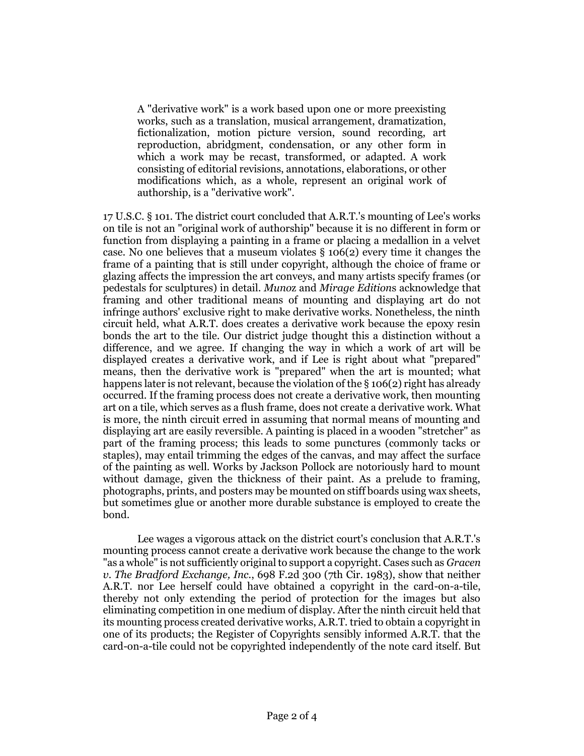A "derivative work" is a work based upon one or more preexisting works, such as a translation, musical arrangement, dramatization, fictionalization, motion picture version, sound recording, art reproduction, abridgment, condensation, or any other form in which a work may be recast, transformed, or adapted. A work consisting of editorial revisions, annotations, elaborations, or other modifications which, as a whole, represent an original work of authorship, is a "derivative work".

17 U.S.C. § 101. The district court concluded that A.R.T.'s mounting of Lee's works on tile is not an "original work of authorship" because it is no different in form or function from displaying a painting in a frame or placing a medallion in a velvet case. No one believes that a museum violates § 106(2) every time it changes the frame of a painting that is still under copyright, although the choice of frame or glazing affects the impression the art conveys, and many artists specify frames (or pedestals for sculptures) in detail. *Muno*z and *Mirage Edition*s acknowledge that framing and other traditional means of mounting and displaying art do not infringe authors' exclusive right to make derivative works. Nonetheless, the ninth circuit held, what A.R.T. does creates a derivative work because the epoxy resin bonds the art to the tile. Our district judge thought this a distinction without a difference, and we agree. If changing the way in which a work of art will be displayed creates a derivative work, and if Lee is right about what "prepared" means, then the derivative work is "prepared" when the art is mounted; what happens later is not relevant, because the violation of the § 106(2) right has already occurred. If the framing process does not create a derivative work, then mounting art on a tile, which serves as a flush frame, does not create a derivative work. What is more, the ninth circuit erred in assuming that normal means of mounting and displaying art are easily reversible. A painting is placed in a wooden "stretcher" as part of the framing process; this leads to some punctures (commonly tacks or staples), may entail trimming the edges of the canvas, and may affect the surface of the painting as well. Works by Jackson Pollock are notoriously hard to mount without damage, given the thickness of their paint. As a prelude to framing, photographs, prints, and posters may be mounted on stiff boards using wax sheets, but sometimes glue or another more durable substance is employed to create the bond.

Lee wages a vigorous attack on the district court's conclusion that A.R.T.'s mounting process cannot create a derivative work because the change to the work "as a whole" is not sufficiently original to support a copyright. Cases such as *Gracen v. The Bradford Exchange, Inc.*, 698 F.2d 300 (7th Cir. 1983), show that neither A.R.T. nor Lee herself could have obtained a copyright in the card-on-a-tile, thereby not only extending the period of protection for the images but also eliminating competition in one medium of display. After the ninth circuit held that its mounting process created derivative works, A.R.T. tried to obtain a copyright in one of its products; the Register of Copyrights sensibly informed A.R.T. that the card-on-a-tile could not be copyrighted independently of the note card itself. But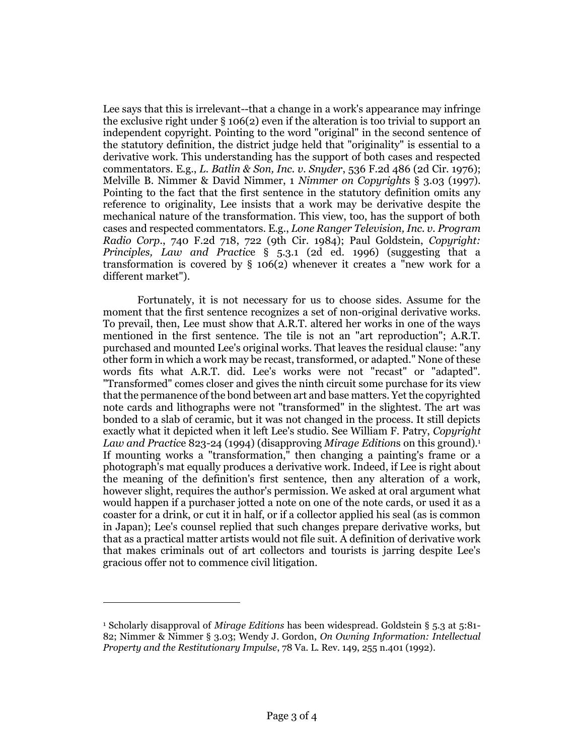Lee says that this is irrelevant--that a change in a work's appearance may infringe the exclusive right under § 106(2) even if the alteration is too trivial to support an independent copyright. Pointing to the word "original" in the second sentence of the statutory definition, the district judge held that "originality" is essential to a derivative work. This understanding has the support of both cases and respected commentators. E.g., *L. Batlin & Son, Inc. v. Snyder*, 536 F.2d 486 (2d Cir. 1976); Melville B. Nimmer & David Nimmer, 1 *Nimmer on Copyright*s § 3.03 (1997). Pointing to the fact that the first sentence in the statutory definition omits any reference to originality, Lee insists that a work may be derivative despite the mechanical nature of the transformation. This view, too, has the support of both cases and respected commentators. E.g., *Lone Ranger Television, Inc. v. Program Radio Corp.*, 740 F.2d 718, 722 (9th Cir. 1984); Paul Goldstein, *Copyright: Principles, Law and Practic*e § 5.3.1 (2d ed. 1996) (suggesting that a transformation is covered by § 106(2) whenever it creates a "new work for a different market").

Fortunately, it is not necessary for us to choose sides. Assume for the moment that the first sentence recognizes a set of non-original derivative works. To prevail, then, Lee must show that A.R.T. altered her works in one of the ways mentioned in the first sentence. The tile is not an "art reproduction"; A.R.T. purchased and mounted Lee's original works. That leaves the residual clause: "any other form in which a work may be recast, transformed, or adapted." None of these words fits what A.R.T. did. Lee's works were not "recast" or "adapted". "Transformed" comes closer and gives the ninth circuit some purchase for its view that the permanence of the bond between art and base matters. Yet the copyrighted note cards and lithographs were not "transformed" in the slightest. The art was bonded to a slab of ceramic, but it was not changed in the process. It still depicts exactly what it depicted when it left Lee's studio. See William F. Patry, *Copyright*  Law and Practice 823-24 (1994) (disapproving *Mirage Editions* on this ground).<sup>1</sup> If mounting works a "transformation," then changing a painting's frame or a photograph's mat equally produces a derivative work. Indeed, if Lee is right about the meaning of the definition's first sentence, then any alteration of a work, however slight, requires the author's permission. We asked at oral argument what would happen if a purchaser jotted a note on one of the note cards, or used it as a coaster for a drink, or cut it in half, or if a collector applied his seal (as is common in Japan); Lee's counsel replied that such changes prepare derivative works, but that as a practical matter artists would not file suit. A definition of derivative work that makes criminals out of art collectors and tourists is jarring despite Lee's gracious offer not to commence civil litigation.

 $\overline{a}$ 

<sup>1</sup> Scholarly disapproval of *Mirage Editions* has been widespread. Goldstein § 5.3 at 5:81- 82; Nimmer & Nimmer § 3.03; Wendy J. Gordon, *On Owning Information: Intellectual Property and the Restitutionary Impulse*, 78 Va. L. Rev. 149, 255 n.401 (1992).